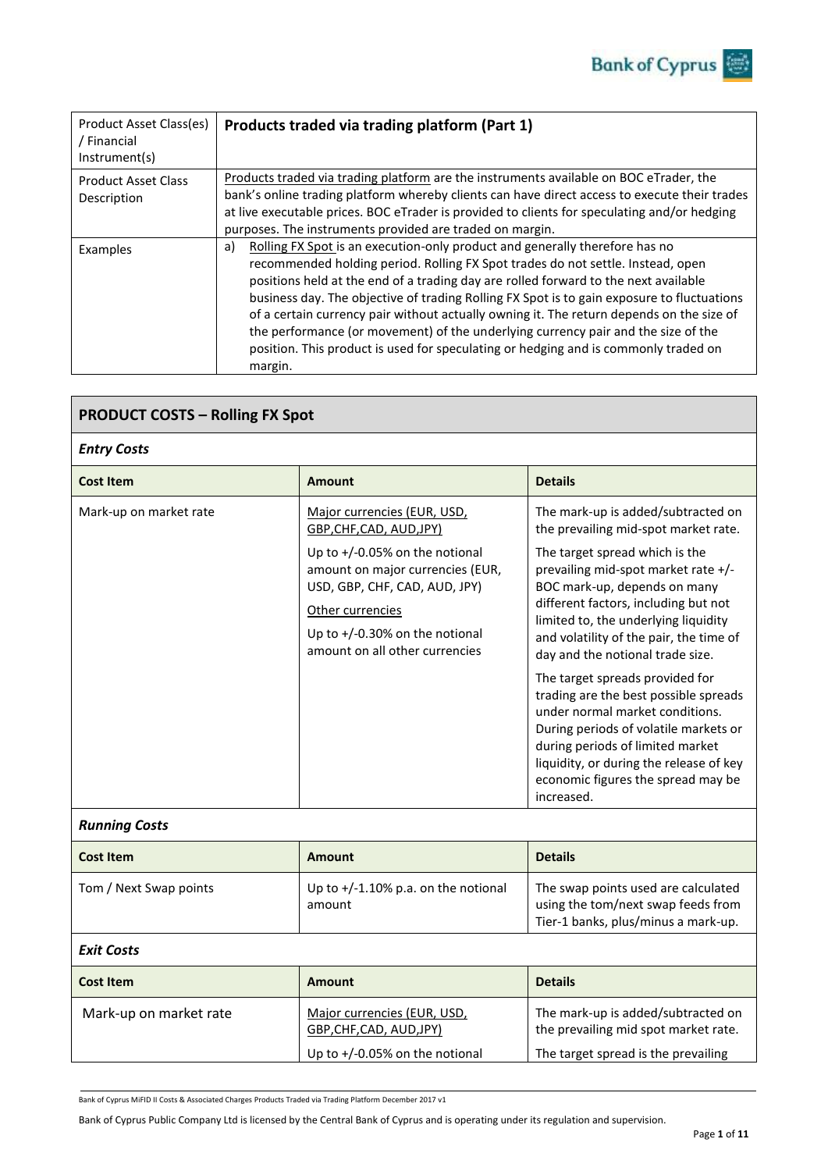| Product Asset Class(es)<br><sup>/</sup> Financial<br>Instrument(s) | Products traded via trading platform (Part 1)                                                                                                                                                                                                                                                                                                                                                                                                                                                                                                                                                                                                |
|--------------------------------------------------------------------|----------------------------------------------------------------------------------------------------------------------------------------------------------------------------------------------------------------------------------------------------------------------------------------------------------------------------------------------------------------------------------------------------------------------------------------------------------------------------------------------------------------------------------------------------------------------------------------------------------------------------------------------|
| <b>Product Asset Class</b><br>Description                          | Products traded via trading platform are the instruments available on BOC eTrader, the<br>bank's online trading platform whereby clients can have direct access to execute their trades<br>at live executable prices. BOC eTrader is provided to clients for speculating and/or hedging<br>purposes. The instruments provided are traded on margin.                                                                                                                                                                                                                                                                                          |
| Examples                                                           | Rolling FX Spot is an execution-only product and generally therefore has no<br>a)<br>recommended holding period. Rolling FX Spot trades do not settle. Instead, open<br>positions held at the end of a trading day are rolled forward to the next available<br>business day. The objective of trading Rolling FX Spot is to gain exposure to fluctuations<br>of a certain currency pair without actually owning it. The return depends on the size of<br>the performance (or movement) of the underlying currency pair and the size of the<br>position. This product is used for speculating or hedging and is commonly traded on<br>margin. |

| <b>PRODUCT COSTS - Rolling FX Spot</b> |                                                                                                                                                                                                                                                             |                                                                                                                                                                                                                                                                                                                                                                                                                                                                                                                                                                                                                                               |  |
|----------------------------------------|-------------------------------------------------------------------------------------------------------------------------------------------------------------------------------------------------------------------------------------------------------------|-----------------------------------------------------------------------------------------------------------------------------------------------------------------------------------------------------------------------------------------------------------------------------------------------------------------------------------------------------------------------------------------------------------------------------------------------------------------------------------------------------------------------------------------------------------------------------------------------------------------------------------------------|--|
| <b>Entry Costs</b>                     |                                                                                                                                                                                                                                                             |                                                                                                                                                                                                                                                                                                                                                                                                                                                                                                                                                                                                                                               |  |
| <b>Cost Item</b>                       | <b>Amount</b>                                                                                                                                                                                                                                               | <b>Details</b>                                                                                                                                                                                                                                                                                                                                                                                                                                                                                                                                                                                                                                |  |
| Mark-up on market rate                 | Major currencies (EUR, USD,<br>GBP, CHF, CAD, AUD, JPY)<br>Up to $+/-0.05%$ on the notional<br>amount on major currencies (EUR,<br>USD, GBP, CHF, CAD, AUD, JPY)<br>Other currencies<br>Up to $+/-0.30\%$ on the notional<br>amount on all other currencies | The mark-up is added/subtracted on<br>the prevailing mid-spot market rate.<br>The target spread which is the<br>prevailing mid-spot market rate +/-<br>BOC mark-up, depends on many<br>different factors, including but not<br>limited to, the underlying liquidity<br>and volatility of the pair, the time of<br>day and the notional trade size.<br>The target spreads provided for<br>trading are the best possible spreads<br>under normal market conditions.<br>During periods of volatile markets or<br>during periods of limited market<br>liquidity, or during the release of key<br>economic figures the spread may be<br>increased. |  |
| <b>Running Costs</b>                   |                                                                                                                                                                                                                                                             |                                                                                                                                                                                                                                                                                                                                                                                                                                                                                                                                                                                                                                               |  |
| <b>Cost Item</b>                       | Amount                                                                                                                                                                                                                                                      | <b>Details</b>                                                                                                                                                                                                                                                                                                                                                                                                                                                                                                                                                                                                                                |  |
| Tom / Next Swap points                 | Up to $+/-1.10\%$ p.a. on the notional<br>amount                                                                                                                                                                                                            | The swap points used are calculated<br>using the tom/next swap feeds from<br>Tier-1 banks, plus/minus a mark-up.                                                                                                                                                                                                                                                                                                                                                                                                                                                                                                                              |  |
| <b>Exit Costs</b>                      |                                                                                                                                                                                                                                                             |                                                                                                                                                                                                                                                                                                                                                                                                                                                                                                                                                                                                                                               |  |
| <b>Cost Item</b>                       | <b>Amount</b>                                                                                                                                                                                                                                               | <b>Details</b>                                                                                                                                                                                                                                                                                                                                                                                                                                                                                                                                                                                                                                |  |
| Mark-up on market rate                 | Major currencies (EUR, USD,<br>GBP, CHF, CAD, AUD, JPY)<br>Up to $+/-0.05%$ on the notional                                                                                                                                                                 | The mark-up is added/subtracted on<br>the prevailing mid spot market rate.<br>The target spread is the prevailing                                                                                                                                                                                                                                                                                                                                                                                                                                                                                                                             |  |

Bank of Cyprus MiFID II Costs & Associated Charges Products Traded via Trading Platform December 2017 v1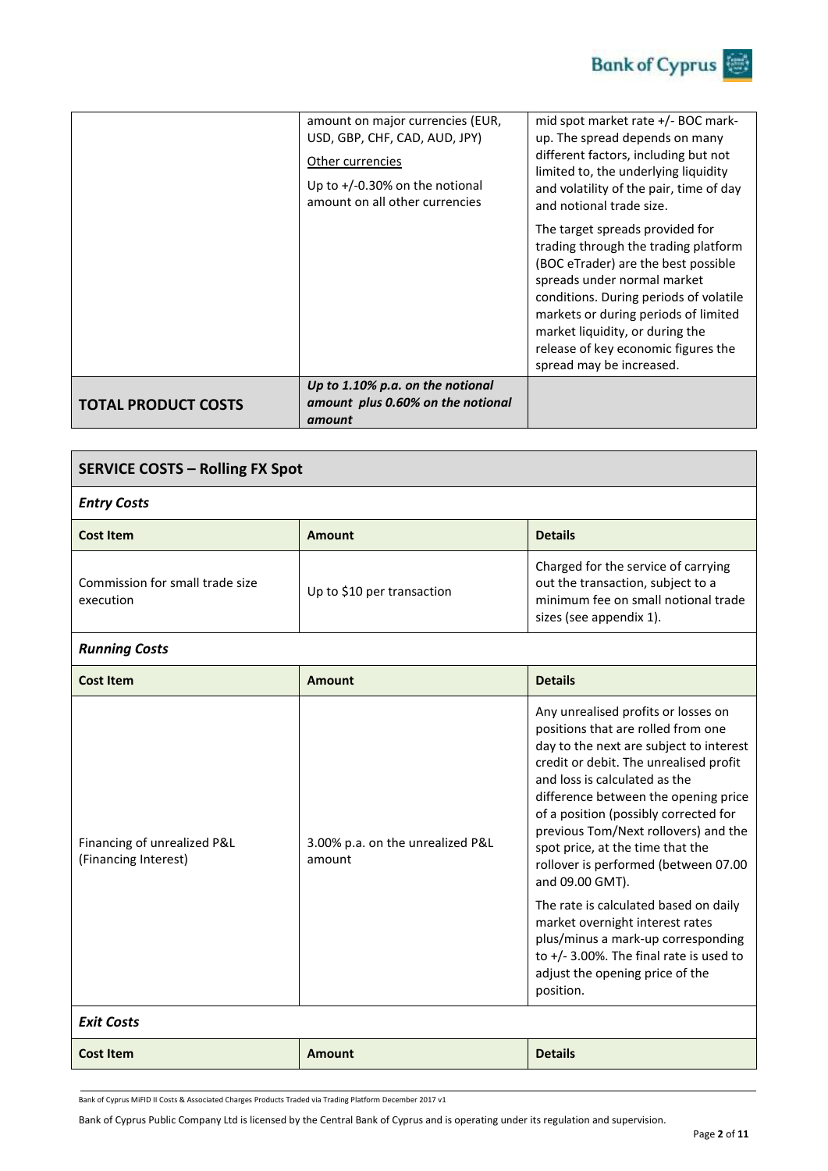|                            | amount on major currencies (EUR,<br>USD, GBP, CHF, CAD, AUD, JPY)<br>Other currencies<br>Up to $+/-0.30\%$ on the notional<br>amount on all other currencies | mid spot market rate +/- BOC mark-<br>up. The spread depends on many<br>different factors, including but not<br>limited to, the underlying liquidity<br>and volatility of the pair, time of day<br>and notional trade size.<br>The target spreads provided for<br>trading through the trading platform<br>(BOC eTrader) are the best possible<br>spreads under normal market<br>conditions. During periods of volatile<br>markets or during periods of limited<br>market liquidity, or during the<br>release of key economic figures the<br>spread may be increased. |
|----------------------------|--------------------------------------------------------------------------------------------------------------------------------------------------------------|----------------------------------------------------------------------------------------------------------------------------------------------------------------------------------------------------------------------------------------------------------------------------------------------------------------------------------------------------------------------------------------------------------------------------------------------------------------------------------------------------------------------------------------------------------------------|
| <b>TOTAL PRODUCT COSTS</b> | Up to 1.10% p.a. on the notional<br>amount plus 0.60% on the notional<br>amount                                                                              |                                                                                                                                                                                                                                                                                                                                                                                                                                                                                                                                                                      |

| <b>SERVICE COSTS - Rolling FX Spot</b>       |                            |                                                                                                                                            |  |
|----------------------------------------------|----------------------------|--------------------------------------------------------------------------------------------------------------------------------------------|--|
| <b>Entry Costs</b>                           |                            |                                                                                                                                            |  |
| Cost Item                                    | Amount                     | <b>Details</b>                                                                                                                             |  |
| Commission for small trade size<br>execution | Up to \$10 per transaction | Charged for the service of carrying<br>out the transaction, subject to a<br>minimum fee on small notional trade<br>sizes (see appendix 1). |  |

## *Running Costs*

| <b>Cost Item</b>                                    | Amount                                     | <b>Details</b>                                                                                                                                                                                                                                                                                                                                                                                                                                                                                                                                                                                                                           |
|-----------------------------------------------------|--------------------------------------------|------------------------------------------------------------------------------------------------------------------------------------------------------------------------------------------------------------------------------------------------------------------------------------------------------------------------------------------------------------------------------------------------------------------------------------------------------------------------------------------------------------------------------------------------------------------------------------------------------------------------------------------|
| Financing of unrealized P&L<br>(Financing Interest) | 3.00% p.a. on the unrealized P&L<br>amount | Any unrealised profits or losses on<br>positions that are rolled from one<br>day to the next are subject to interest<br>credit or debit. The unrealised profit<br>and loss is calculated as the<br>difference between the opening price<br>of a position (possibly corrected for<br>previous Tom/Next rollovers) and the<br>spot price, at the time that the<br>rollover is performed (between 07.00<br>and 09.00 GMT).<br>The rate is calculated based on daily<br>market overnight interest rates<br>plus/minus a mark-up corresponding<br>to $+/- 3.00\%$ . The final rate is used to<br>adjust the opening price of the<br>position. |
| <b>Exit Costs</b>                                   |                                            |                                                                                                                                                                                                                                                                                                                                                                                                                                                                                                                                                                                                                                          |

Bank of Cyprus MiFID II Costs & Associated Charges Products Traded via Trading Platform December 2017 v1

Bank of Cyprus Public Company Ltd is licensed by the Central Bank of Cyprus and is operating under its regulation and supervision.

**Cost Item Amount Amount Amount Details**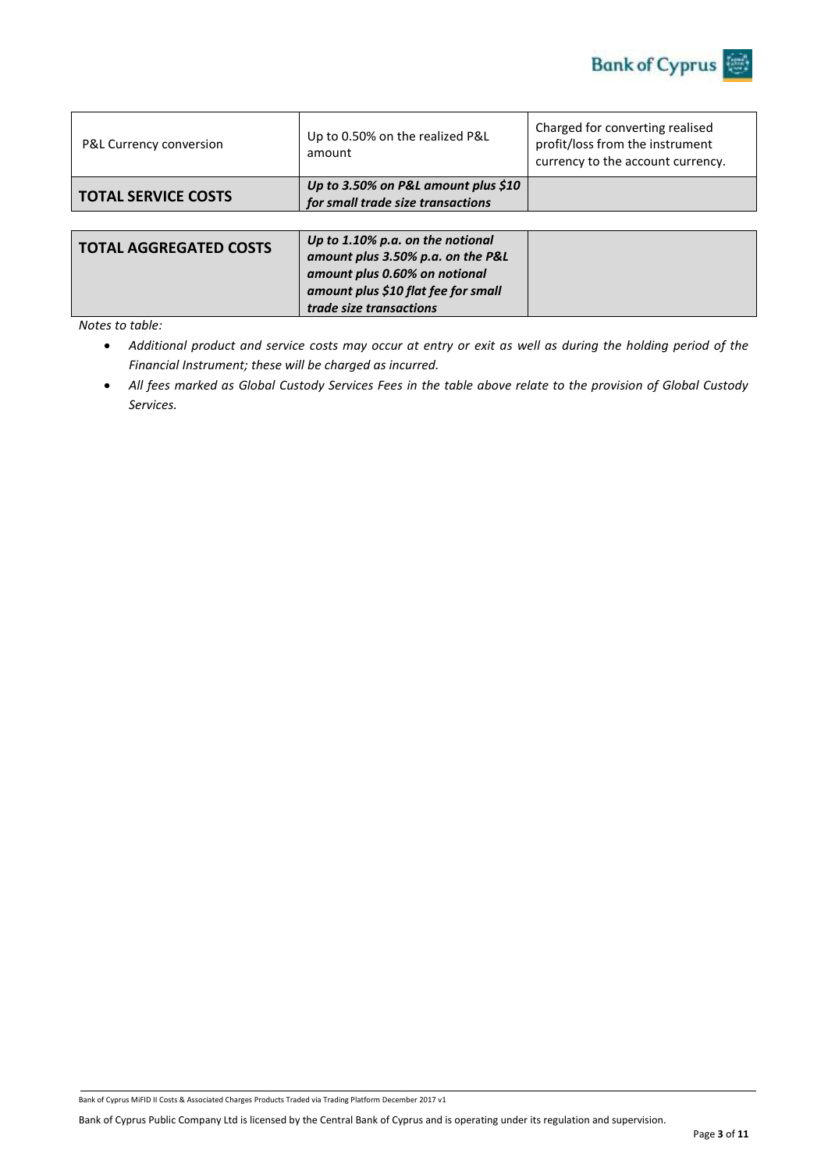

| P&L Currency conversion       | Up to 0.50% on the realized P&L<br>amount                                                                                                     | Charged for converting realised<br>profit/loss from the instrument<br>currency to the account currency. |
|-------------------------------|-----------------------------------------------------------------------------------------------------------------------------------------------|---------------------------------------------------------------------------------------------------------|
| <b>TOTAL SERVICE COSTS</b>    | Up to 3.50% on P&L amount plus $$10$<br>for small trade size transactions                                                                     |                                                                                                         |
|                               |                                                                                                                                               |                                                                                                         |
| <b>TOTAL AGGREGATED COSTS</b> | Up to 1.10% p.a. on the notional<br>amount plus 3.50% p.a. on the P&L<br>amount plus 0.60% on notional<br>amount plus \$10 flat fee for small |                                                                                                         |

*trade size transactions*

*Notes to table:* 

 *Additional product and service costs may occur at entry or exit as well as during the holding period of the Financial Instrument; these will be charged as incurred.*

 *All fees marked as Global Custody Services Fees in the table above relate to the provision of Global Custody Services.*

Bank of Cyprus MiFID II Costs & Associated Charges Products Traded via Trading Platform December 2017 v1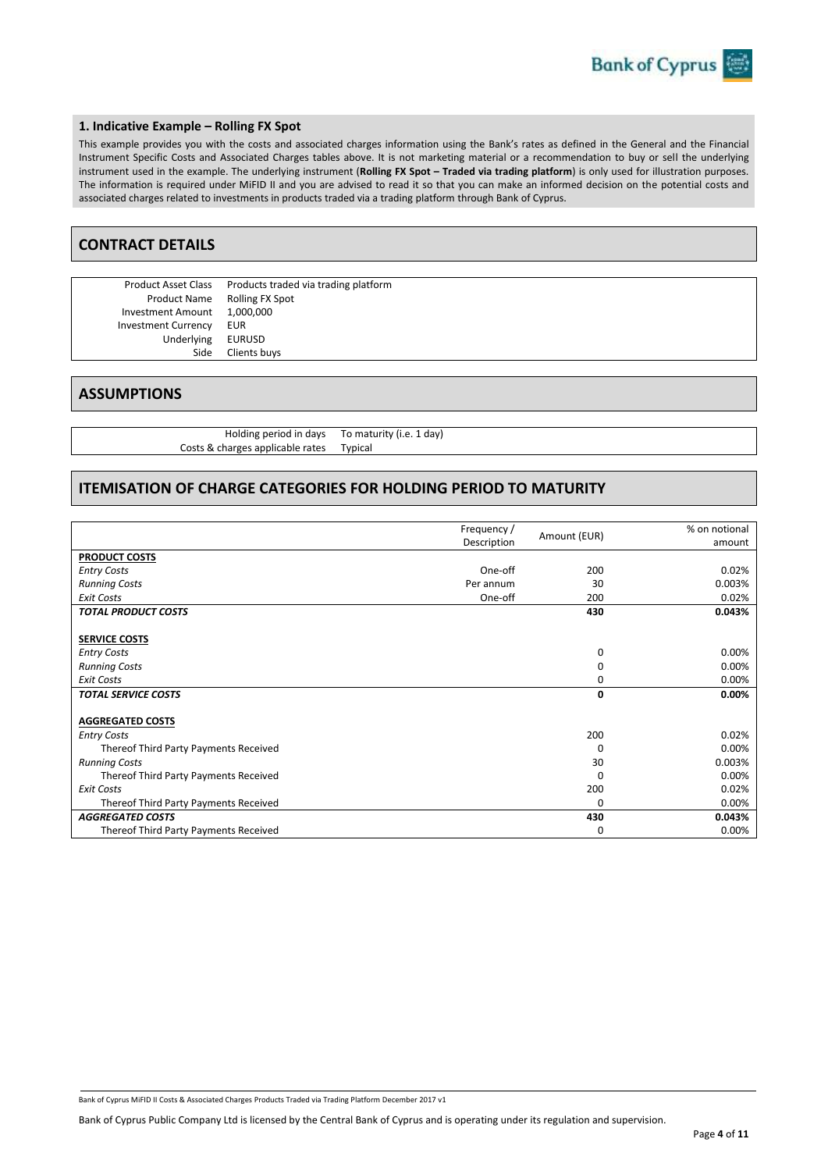### **1. Indicative Example – Rolling FX Spot**

This example provides you with the costs and associated charges information using the Bank's rates as defined in the General and the Financial Instrument Specific Costs and Associated Charges tables above. It is not marketing material or a recommendation to buy or sell the underlying instrument used in the example. The underlying instrument (**Rolling FX Spot – Traded via trading platform**) is only used for illustration purposes. The information is required under MiFID II and you are advised to read it so that you can make an informed decision on the potential costs and associated charges related to investments in products traded via a trading platform through Bank of Cyprus.

### **CONTRACT DETAILS**

Investment Amount Investment Currency EUR Underlying EURUSD

Product Asset Class Products traded via trading platform Product Name Rolling FX Spot<br>tment Amount 1,000,000 Side Clients buys

### **ASSUMPTIONS**

Holding period in days To maturity (i.e. 1 day) Costs & charges applicable rates Typical

### **ITEMISATION OF CHARGE CATEGORIES FOR HOLDING PERIOD TO MATURITY**

|                                       | Frequency / | Amount (EUR) | % on notional |
|---------------------------------------|-------------|--------------|---------------|
|                                       | Description |              | amount        |
| <b>PRODUCT COSTS</b>                  |             |              |               |
| <b>Entry Costs</b>                    | One-off     | 200          | 0.02%         |
| <b>Running Costs</b>                  | Per annum   | 30           | 0.003%        |
| <b>Exit Costs</b>                     | One-off     | 200          | 0.02%         |
| <b>TOTAL PRODUCT COSTS</b>            |             | 430          | 0.043%        |
|                                       |             |              |               |
| <b>SERVICE COSTS</b>                  |             |              |               |
| <b>Entry Costs</b>                    |             | 0            | 0.00%         |
| <b>Running Costs</b>                  |             | 0            | 0.00%         |
| <b>Exit Costs</b>                     |             | 0            | 0.00%         |
| <b>TOTAL SERVICE COSTS</b>            |             | 0            | $0.00\%$      |
|                                       |             |              |               |
| <b>AGGREGATED COSTS</b>               |             |              |               |
| <b>Entry Costs</b>                    |             | 200          | 0.02%         |
| Thereof Third Party Payments Received |             | $\Omega$     | 0.00%         |
| <b>Running Costs</b>                  |             | 30           | 0.003%        |
| Thereof Third Party Payments Received |             | $\Omega$     | 0.00%         |
| <b>Exit Costs</b>                     |             | 200          | 0.02%         |
| Thereof Third Party Payments Received |             | $\Omega$     | 0.00%         |
| <b>AGGREGATED COSTS</b>               |             | 430          | 0.043%        |
| Thereof Third Party Payments Received |             | 0            | 0.00%         |

Bank of Cyprus MiFID II Costs & Associated Charges Products Traded via Trading Platform December 2017 v1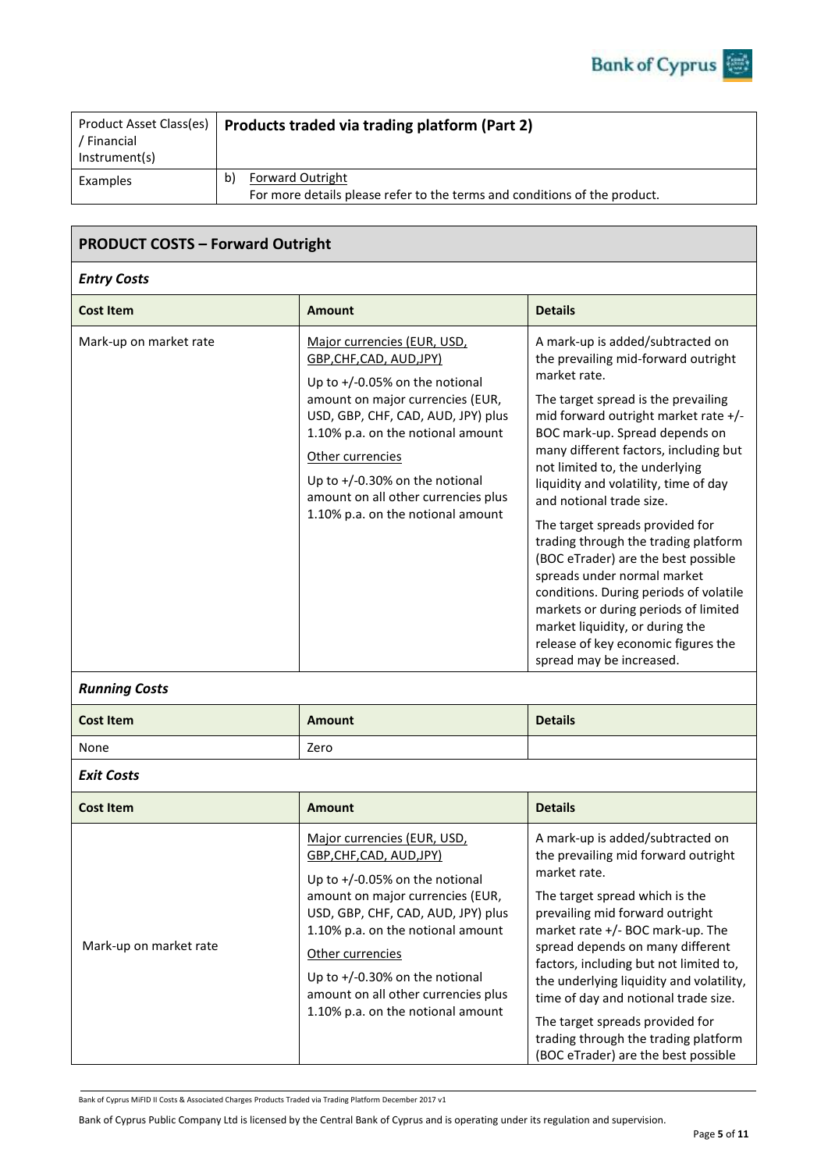| Product Asset Class(es)<br>' Financial<br>Instrument(s) | Products traded via trading platform (Part 2)                                                              |
|---------------------------------------------------------|------------------------------------------------------------------------------------------------------------|
| Examples                                                | <b>Forward Outright</b><br>b)<br>For more details please refer to the terms and conditions of the product. |

# **PRODUCT COSTS – Forward Outright**

### *Entry Costs*

| <b>Cost Item</b>       | <b>Amount</b>                                                                                                                                                                                                                                                                                                                                   | <b>Details</b>                                                                                                                                                                                                                                                                                                                                                                                                                                                                                                                                                                                                                                                                                    |
|------------------------|-------------------------------------------------------------------------------------------------------------------------------------------------------------------------------------------------------------------------------------------------------------------------------------------------------------------------------------------------|---------------------------------------------------------------------------------------------------------------------------------------------------------------------------------------------------------------------------------------------------------------------------------------------------------------------------------------------------------------------------------------------------------------------------------------------------------------------------------------------------------------------------------------------------------------------------------------------------------------------------------------------------------------------------------------------------|
| Mark-up on market rate | Major currencies (EUR, USD,<br>GBP, CHF, CAD, AUD, JPY)<br>Up to $+/-0.05%$ on the notional<br>amount on major currencies (EUR,<br>USD, GBP, CHF, CAD, AUD, JPY) plus<br>1.10% p.a. on the notional amount<br>Other currencies<br>Up to $+/-0.30\%$ on the notional<br>amount on all other currencies plus<br>1.10% p.a. on the notional amount | A mark-up is added/subtracted on<br>the prevailing mid-forward outright<br>market rate.<br>The target spread is the prevailing<br>mid forward outright market rate +/-<br>BOC mark-up. Spread depends on<br>many different factors, including but<br>not limited to, the underlying<br>liquidity and volatility, time of day<br>and notional trade size.<br>The target spreads provided for<br>trading through the trading platform<br>(BOC eTrader) are the best possible<br>spreads under normal market<br>conditions. During periods of volatile<br>markets or during periods of limited<br>market liquidity, or during the<br>release of key economic figures the<br>spread may be increased. |

# *Running Costs*

| <b>Cost Item</b> | <b>Amount</b> | <b>Details</b> |
|------------------|---------------|----------------|
| None             | Zero          |                |

# *Exit Costs*

| <b>Cost Item</b>       | <b>Amount</b>                                                                                                                                                                                                                                                                                                                                   | <b>Details</b>                                                                                                                                                                                                                                                                                                                                                                                                                                                                       |
|------------------------|-------------------------------------------------------------------------------------------------------------------------------------------------------------------------------------------------------------------------------------------------------------------------------------------------------------------------------------------------|--------------------------------------------------------------------------------------------------------------------------------------------------------------------------------------------------------------------------------------------------------------------------------------------------------------------------------------------------------------------------------------------------------------------------------------------------------------------------------------|
| Mark-up on market rate | Major currencies (EUR, USD,<br>GBP, CHF, CAD, AUD, JPY)<br>Up to $+/-0.05%$ on the notional<br>amount on major currencies (EUR,<br>USD, GBP, CHF, CAD, AUD, JPY) plus<br>1.10% p.a. on the notional amount<br>Other currencies<br>Up to $+/-0.30\%$ on the notional<br>amount on all other currencies plus<br>1.10% p.a. on the notional amount | A mark-up is added/subtracted on<br>the prevailing mid forward outright<br>market rate.<br>The target spread which is the<br>prevailing mid forward outright<br>market rate +/- BOC mark-up. The<br>spread depends on many different<br>factors, including but not limited to,<br>the underlying liquidity and volatility,<br>time of day and notional trade size.<br>The target spreads provided for<br>trading through the trading platform<br>(BOC eTrader) are the best possible |

Bank of Cyprus MiFID II Costs & Associated Charges Products Traded via Trading Platform December 2017 v1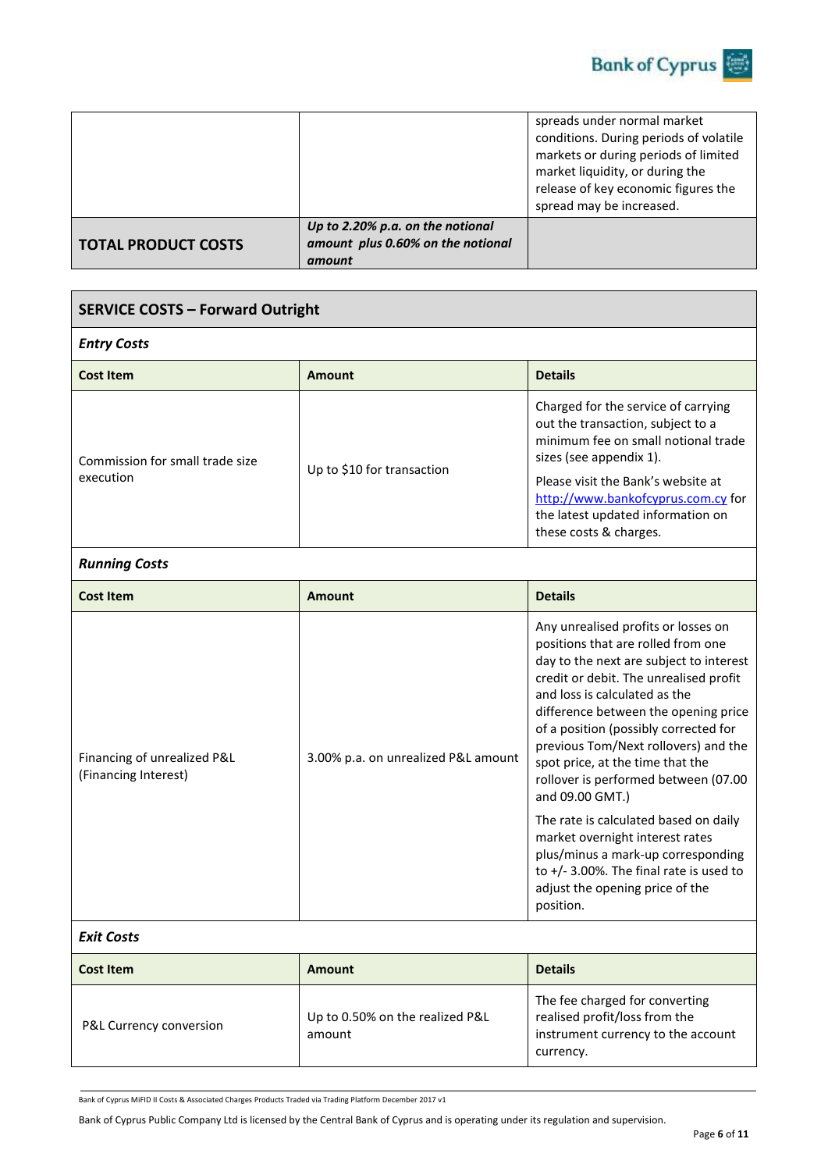

|                            |                                                                                 | spreads under normal market<br>conditions. During periods of volatile<br>markets or during periods of limited<br>market liquidity, or during the<br>release of key economic figures the<br>spread may be increased. |
|----------------------------|---------------------------------------------------------------------------------|---------------------------------------------------------------------------------------------------------------------------------------------------------------------------------------------------------------------|
| <b>TOTAL PRODUCT COSTS</b> | Up to 2.20% p.a. on the notional<br>amount plus 0.60% on the notional<br>amount |                                                                                                                                                                                                                     |

| <b>SERVICE COSTS - Forward Outright</b>             |                            |                                                                                                                                                                                                                                                                                       |  |
|-----------------------------------------------------|----------------------------|---------------------------------------------------------------------------------------------------------------------------------------------------------------------------------------------------------------------------------------------------------------------------------------|--|
| <b>Entry Costs</b>                                  |                            |                                                                                                                                                                                                                                                                                       |  |
| <b>Details</b><br><b>Cost Item</b><br><b>Amount</b> |                            |                                                                                                                                                                                                                                                                                       |  |
| Commission for small trade size<br>execution        | Up to \$10 for transaction | Charged for the service of carrying<br>out the transaction, subject to a<br>minimum fee on small notional trade<br>sizes (see appendix 1).<br>Please visit the Bank's website at<br>http://www.bankofcyprus.com.cy for<br>the latest updated information on<br>these costs & charges. |  |

# *Running Costs*

| <b>Cost Item</b>                                    | <b>Amount</b>                       | <b>Details</b>                                                                                                                                                                                                                                                                                                                                                                                                                                                                                                                                                                                                                           |
|-----------------------------------------------------|-------------------------------------|------------------------------------------------------------------------------------------------------------------------------------------------------------------------------------------------------------------------------------------------------------------------------------------------------------------------------------------------------------------------------------------------------------------------------------------------------------------------------------------------------------------------------------------------------------------------------------------------------------------------------------------|
| Financing of unrealized P&L<br>(Financing Interest) | 3.00% p.a. on unrealized P&L amount | Any unrealised profits or losses on<br>positions that are rolled from one<br>day to the next are subject to interest<br>credit or debit. The unrealised profit<br>and loss is calculated as the<br>difference between the opening price<br>of a position (possibly corrected for<br>previous Tom/Next rollovers) and the<br>spot price, at the time that the<br>rollover is performed between (07.00<br>and 09.00 GMT.)<br>The rate is calculated based on daily<br>market overnight interest rates<br>plus/minus a mark-up corresponding<br>to $+/- 3.00\%$ . The final rate is used to<br>adjust the opening price of the<br>position. |

# *Exit Costs*

| <b>Cost Item</b>        | Amount                                    | <b>Details</b>                                                                                                     |
|-------------------------|-------------------------------------------|--------------------------------------------------------------------------------------------------------------------|
| P&L Currency conversion | Up to 0.50% on the realized P&L<br>amount | The fee charged for converting<br>realised profit/loss from the<br>instrument currency to the account<br>currency. |

Bank of Cyprus MiFID II Costs & Associated Charges Products Traded via Trading Platform December 2017 v1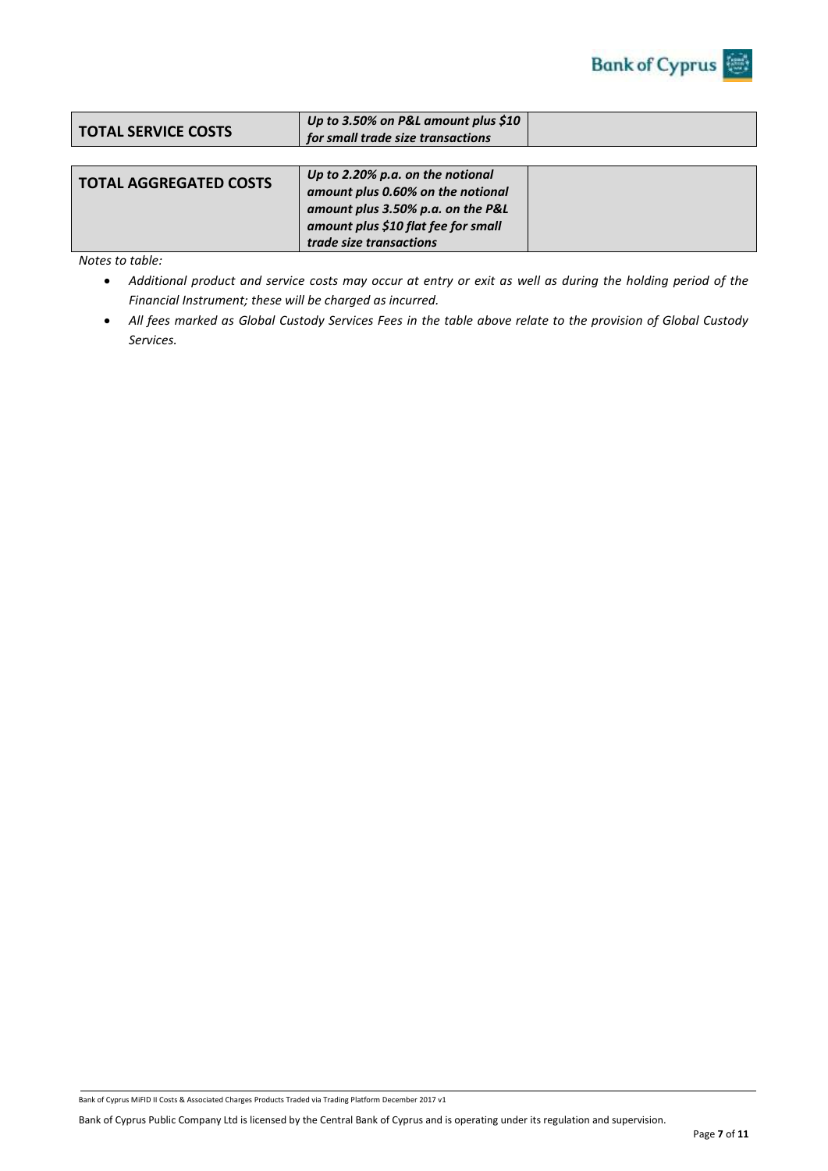

| <b>TOTAL AGGREGATED COSTS</b> | Up to 2.20% p.a. on the notional<br>amount plus 0.60% on the notional<br>amount plus 3.50% p.a. on the P&L<br>amount plus \$10 flat fee for small |  |
|-------------------------------|---------------------------------------------------------------------------------------------------------------------------------------------------|--|
|                               | trade size transactions                                                                                                                           |  |

*Notes to table:* 

- *Additional product and service costs may occur at entry or exit as well as during the holding period of the Financial Instrument; these will be charged as incurred.*
- *All fees marked as Global Custody Services Fees in the table above relate to the provision of Global Custody Services.*

Bank of Cyprus MiFID II Costs & Associated Charges Products Traded via Trading Platform December 2017 v1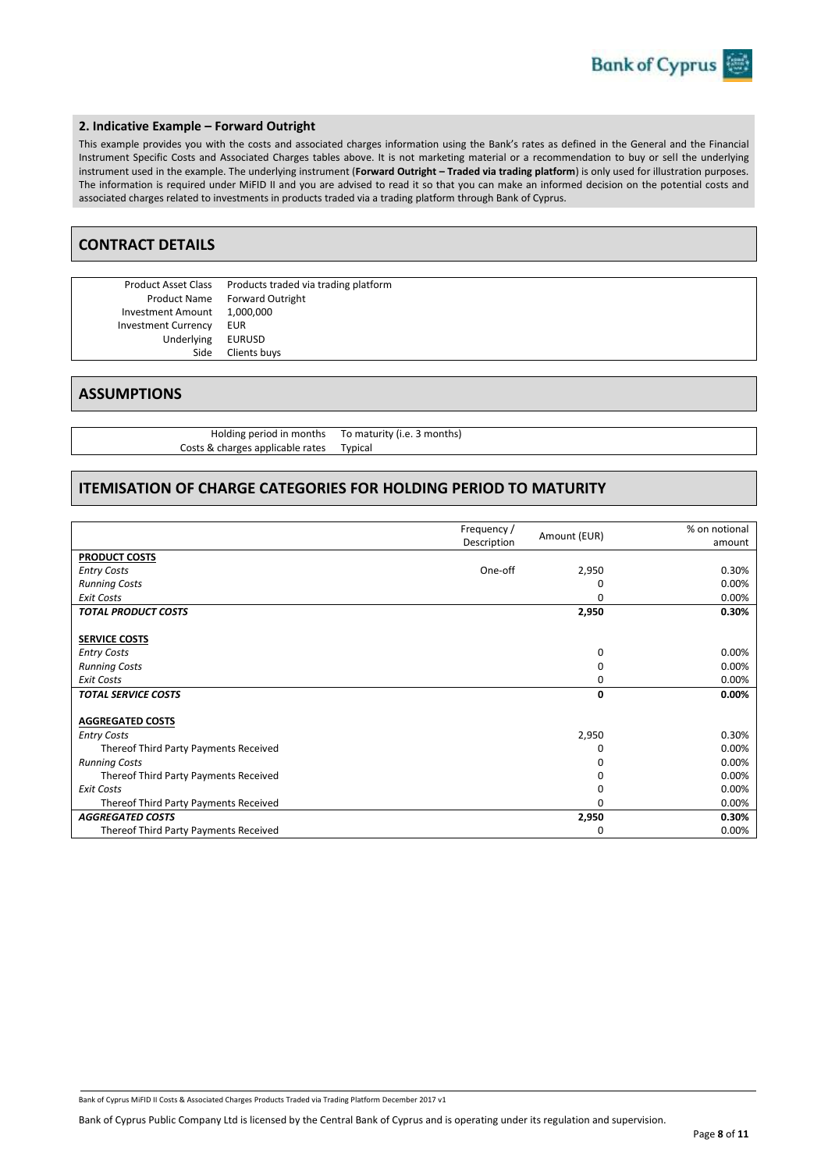#### **2. Indicative Example – Forward Outright**

This example provides you with the costs and associated charges information using the Bank's rates as defined in the General and the Financial Instrument Specific Costs and Associated Charges tables above. It is not marketing material or a recommendation to buy or sell the underlying instrument used in the example. The underlying instrument (**Forward Outright – Traded via trading platform**) is only used for illustration purposes. The information is required under MiFID II and you are advised to read it so that you can make an informed decision on the potential costs and associated charges related to investments in products traded via a trading platform through Bank of Cyprus.

### **CONTRACT DETAILS**

Investment Amount Investment Currency EUR Underlying EURUSD

Product Asset Class Products traded via trading platform Product Name Forward Outright<br>tment Amount 1,000,000 Side Clients buys

### **ASSUMPTIONS**

Holding period in months To maturity (i.e. 3 months) Costs & charges applicable rates Typical

### **ITEMISATION OF CHARGE CATEGORIES FOR HOLDING PERIOD TO MATURITY**

|                                       |             |              | % on notional |
|---------------------------------------|-------------|--------------|---------------|
|                                       | Frequency / | Amount (EUR) |               |
|                                       | Description |              | amount        |
| <b>PRODUCT COSTS</b>                  |             |              |               |
| <b>Entry Costs</b>                    | One-off     | 2,950        | 0.30%         |
| <b>Running Costs</b>                  |             | 0            | 0.00%         |
| <b>Exit Costs</b>                     |             | $\Omega$     | 0.00%         |
| <b>TOTAL PRODUCT COSTS</b>            |             | 2,950        | 0.30%         |
|                                       |             |              |               |
| <b>SERVICE COSTS</b>                  |             |              |               |
| <b>Entry Costs</b>                    |             | $\Omega$     | 0.00%         |
| <b>Running Costs</b>                  |             | $\Omega$     | 0.00%         |
| <b>Exit Costs</b>                     |             | $\Omega$     | 0.00%         |
| <b>TOTAL SERVICE COSTS</b>            |             | 0            | $0.00\%$      |
|                                       |             |              |               |
| <b>AGGREGATED COSTS</b>               |             |              |               |
| <b>Entry Costs</b>                    |             | 2,950        | 0.30%         |
| Thereof Third Party Payments Received |             | 0            | 0.00%         |
| <b>Running Costs</b>                  |             |              | 0.00%         |
| Thereof Third Party Payments Received |             |              | 0.00%         |
| <b>Exit Costs</b>                     |             | <sup>0</sup> | 0.00%         |
| Thereof Third Party Payments Received |             | 0            | 0.00%         |
| <b>AGGREGATED COSTS</b>               |             | 2,950        | 0.30%         |
| Thereof Third Party Payments Received |             | 0            | 0.00%         |

Bank of Cyprus MiFID II Costs & Associated Charges Products Traded via Trading Platform December 2017 v1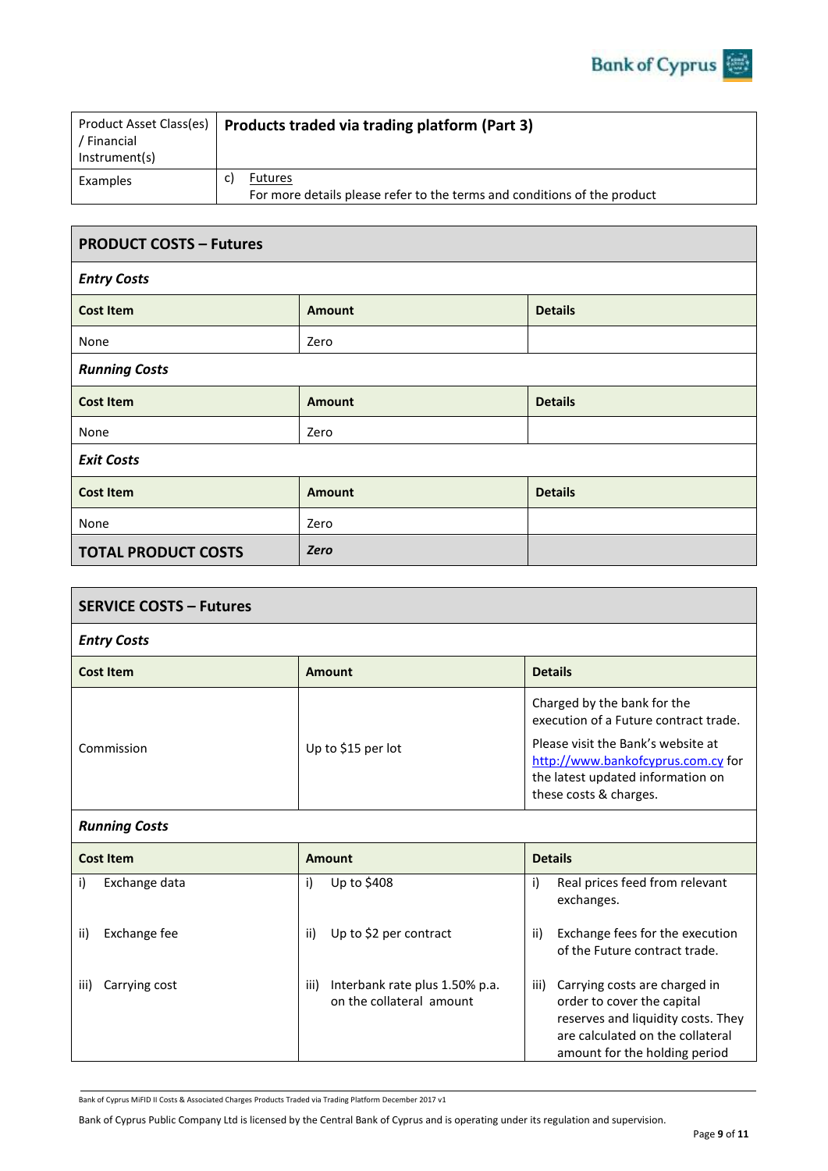| Product Asset Class(es)<br>' Financial<br>Instrument(s) | Products traded via trading platform (Part 3)                                              |
|---------------------------------------------------------|--------------------------------------------------------------------------------------------|
| Examples                                                | <b>Futures</b><br>For more details please refer to the terms and conditions of the product |

| <b>PRODUCT COSTS - Futures</b> |               |                |  |
|--------------------------------|---------------|----------------|--|
| <b>Entry Costs</b>             |               |                |  |
| <b>Cost Item</b>               | <b>Amount</b> | <b>Details</b> |  |
| None                           | Zero          |                |  |
| <b>Running Costs</b>           |               |                |  |
| <b>Cost Item</b>               | <b>Amount</b> | <b>Details</b> |  |
| None                           | Zero          |                |  |
| <b>Exit Costs</b>              |               |                |  |
| <b>Cost Item</b>               | <b>Amount</b> | <b>Details</b> |  |
| None                           | Zero          |                |  |
| <b>TOTAL PRODUCT COSTS</b>     | Zero          |                |  |

| <b>SERVICE COSTS - Futures</b> |                                                                    |                                                                                                                                                                                       |  |
|--------------------------------|--------------------------------------------------------------------|---------------------------------------------------------------------------------------------------------------------------------------------------------------------------------------|--|
| <b>Entry Costs</b>             |                                                                    |                                                                                                                                                                                       |  |
| <b>Cost Item</b>               | <b>Amount</b>                                                      | <b>Details</b>                                                                                                                                                                        |  |
| Commission                     | Up to \$15 per lot                                                 | Charged by the bank for the<br>execution of a Future contract trade.<br>Please visit the Bank's website at<br>http://www.bankofcyprus.com.cy for<br>the latest updated information on |  |
|                                |                                                                    | these costs & charges.                                                                                                                                                                |  |
| <b>Running Costs</b>           |                                                                    |                                                                                                                                                                                       |  |
| <b>Cost Item</b>               | <b>Details</b><br><b>Amount</b>                                    |                                                                                                                                                                                       |  |
| Exchange data<br>i)            | Up to \$408<br>i)                                                  | Real prices feed from relevant<br>i)<br>exchanges.                                                                                                                                    |  |
| Exchange fee<br>ii)            | Up to \$2 per contract<br>ii)                                      | Exchange fees for the execution<br>ii)<br>of the Future contract trade.                                                                                                               |  |
| Carrying cost<br>iii)          | Interbank rate plus 1.50% p.a.<br>iii)<br>on the collateral amount | Carrying costs are charged in<br>iii)<br>order to cover the capital<br>reserves and liquidity costs. They<br>are calculated on the collateral<br>amount for the holding period        |  |

Bank of Cyprus MiFID II Costs & Associated Charges Products Traded via Trading Platform December 2017 v1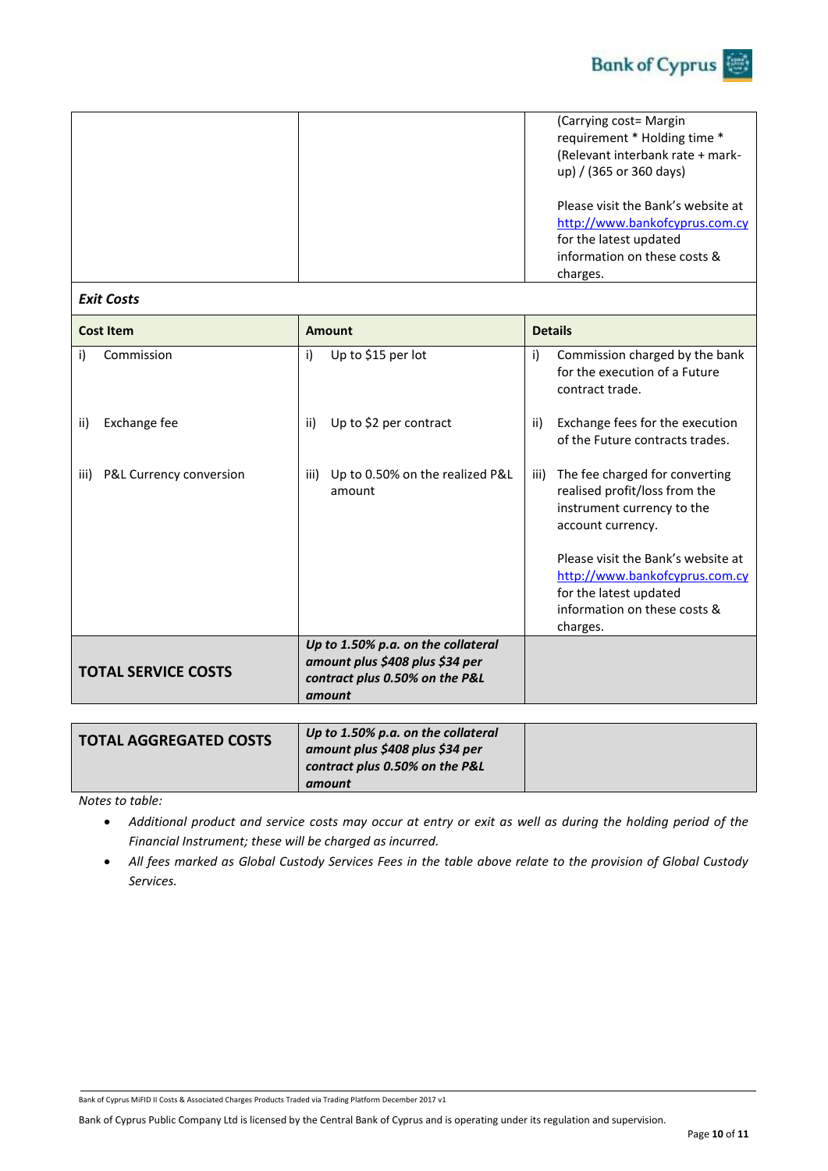

|  | (Carrying cost= Margin<br>requirement * Holding time *<br>(Relevant interbank rate + mark-<br>up) / (365 or 360 days)                      |
|--|--------------------------------------------------------------------------------------------------------------------------------------------|
|  | Please visit the Bank's website at<br>http://www.bankofcyprus.com.cy<br>for the latest updated<br>information on these costs &<br>charges. |

### *Exit Costs*

| <b>Cost Item</b>                | Amount                                                                                                            | <b>Details</b>                                                                                                                                                                                                                                                           |
|---------------------------------|-------------------------------------------------------------------------------------------------------------------|--------------------------------------------------------------------------------------------------------------------------------------------------------------------------------------------------------------------------------------------------------------------------|
| Commission<br>i)                | Up to \$15 per lot<br>i)                                                                                          | i)<br>Commission charged by the bank<br>for the execution of a Future<br>contract trade.                                                                                                                                                                                 |
| Exchange fee<br>ii)             | Up to \$2 per contract<br>ii)                                                                                     | ii)<br>Exchange fees for the execution<br>of the Future contracts trades.                                                                                                                                                                                                |
| P&L Currency conversion<br>iii) | Up to 0.50% on the realized P&L<br>iii)<br>amount                                                                 | The fee charged for converting<br>iii)<br>realised profit/loss from the<br>instrument currency to the<br>account currency.<br>Please visit the Bank's website at<br>http://www.bankofcyprus.com.cy<br>for the latest updated<br>information on these costs &<br>charges. |
| <b>TOTAL SERVICE COSTS</b>      | Up to 1.50% p.a. on the collateral<br>amount plus \$408 plus \$34 per<br>contract plus 0.50% on the P&L<br>amount |                                                                                                                                                                                                                                                                          |

| <b>TOTAL AGGREGATED COSTS</b> | Up to 1.50% p.a. on the collateral<br>amount plus \$408 plus \$34 per<br>contract plus 0.50% on the P&L |  |
|-------------------------------|---------------------------------------------------------------------------------------------------------|--|
|                               | amount                                                                                                  |  |

*Notes to table:* 

- *Additional product and service costs may occur at entry or exit as well as during the holding period of the Financial Instrument; these will be charged as incurred.*
- *All fees marked as Global Custody Services Fees in the table above relate to the provision of Global Custody Services.*

Bank of Cyprus MiFID II Costs & Associated Charges Products Traded via Trading Platform December 2017 v1